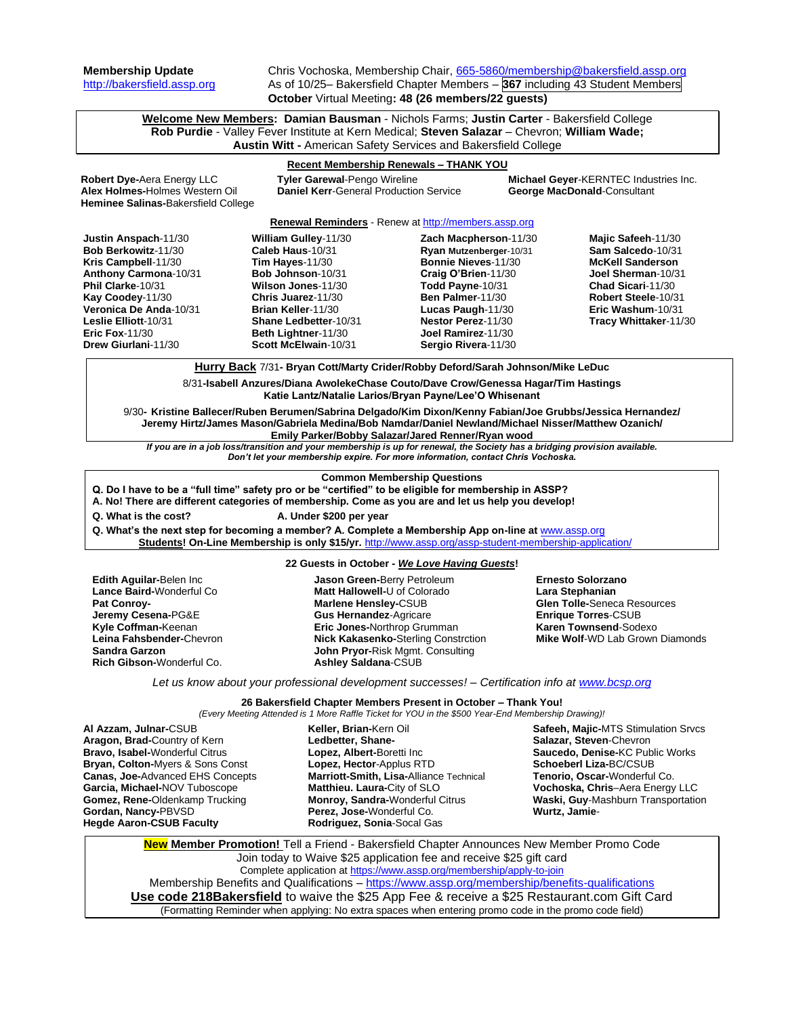**Membership Update** Chris Vochoska, Membership Chair, [665-5860/membership@bakersfield.assp.org](mailto:665-5860/membership@bakersfield.assp.org) [http://bakersfield.assp.org](http://bakersfield.assp.org/) As of 10/25– Bakersfield Chapter Members – **367** including 43 Student Members **October** Virtual Meeting**: 48 (26 members/22 guests)**

**Welcome New Members: Damian Bausman** - Nichols Farms; **Justin Carter** - Bakersfield College **Rob Purdie** - Valley Fever Institute at Kern Medical; **Steven Salazar** – Chevron; **William Wade; Austin Witt -** American Safety Services and Bakersfield College

# **Recent Membership Renewals – THANK YOU**

**Robert Dye-**Aera Energy LLC **Tyler Garewal**-Pengo Wireline **Michael Geyer**-KERNTEC Industries Inc. **Daniel Kerr-General Production Service Heminee Salinas-**Bakersfield College

#### **Renewal Reminders** - Renew a[t http://members.assp.org](http://members.assp.org/)

| <b>Justin Anspach-11/30</b> | William Gulley-11/30  | Zach Macpherson-11/30   | Majic Safeeh-11/30      |
|-----------------------------|-----------------------|-------------------------|-------------------------|
| Bob Berkowitz-11/30         | Caleb Haus-10/31      | Ryan Mutzenberger-10/31 | Sam Salcedo-10/31       |
| Kris Campbell-11/30         | Tim Hayes-11/30       | Bonnie Nieves-11/30     | <b>McKell Sanderson</b> |
| Anthony Carmona-10/31       | Bob Johnson-10/31     | Craig O'Brien-11/30     | Joel Sherman-10/31      |
| Phil Clarke-10/31           | Wilson Jones-11/30    | Todd Payne-10/31        | Chad Sicari-11/30       |
| Kay Coodey-11/30            | Chris Juarez-11/30    | Ben Palmer-11/30        | Robert Steele-10/31     |
| Veronica De Anda-10/31      | Brian Keller-11/30    | Lucas Paugh-11/30       | Eric Washum-10/31       |
| Leslie Elliott-10/31        | Shane Ledbetter-10/31 | Nestor Perez-11/30      | Tracy Whittaker-11/30   |
| Eric Fox- $11/30$           | Beth Lightner-11/30   | Joel Ramirez-11/30      |                         |
| Drew Giurlani-11/30         | Scott McElwain-10/31  | Sergio Rivera-11/30     |                         |
|                             |                       |                         |                         |

**Hurry Back** 7/31**- Bryan Cott/Marty Crider/Robby Deford/Sarah Johnson/Mike LeDuc**

8/31**-Isabell Anzures/Diana AwolekeChase Couto/Dave Crow/Genessa Hagar/Tim Hastings Katie Lantz/Natalie Larios/Bryan Payne/Lee'O Whisenant**

9/30**- Kristine Ballecer/Ruben Berumen/Sabrina Delgado/Kim Dixon/Kenny Fabian/Joe Grubbs/Jessica Hernandez/ Jeremy Hirtz/James Mason/Gabriela Medina/Bob Namdar/Daniel Newland/Michael Nisser/Matthew Ozanich/ Emily Parker/Bobby Salazar/Jared Renner/Ryan wood**

*If you are in a job loss/transition and your membership is up for renewal, the Society has a bridging provision available. Don't let your membership expire. For more information, contact Chris Vochoska.* 

#### **Common Membership Questions**

**Q. Do I have to be a "full time" safety pro or be "certified" to be eligible for membership in ASSP?** 

**A. No! There are different categories of membership. Come as you are and let us help you develop!** 

### **Q. What is the cost? A. Under \$200 per year**

**Q. What's the next step for becoming a member? A. Complete a Membership App on-line at** [www.assp.org](http://www.assp.org/)

**Students! On-Line Membership is only \$15/yr.** <http://www.assp.org/assp-student-membership-application/>

### **22 Guests in October -** *We Love Having Guests***!**

| <b>Edith Aguilar-Belen Inc.</b><br>Lance Baird-Wonderful Co<br><b>Pat Conroy-</b><br>Jeremy Cesena-PG&E<br>Kyle Coffman-Keenan<br>Leina Fahsbender-Chevron<br>Sandra Garzon | <b>Jason Green-Berry Petroleum</b><br>Matt Hallowell-U of Colorado<br>Marlene Hensley-CSUB<br><b>Gus Hernandez-Agricare</b><br>Eric Jones-Northrop Grumman<br><b>Nick Kakasenko-Sterling Constrction</b><br><b>John Pryor-Risk Mgmt. Consulting</b> | <b>Ernesto Solorzano</b><br>Lara Stephanian<br><b>Glen Tolle-Seneca Resources</b><br><b>Enrique Torres-CSUB</b><br><b>Karen Townsend-Sodexo</b><br><b>Mike Wolf-WD Lab Grown Diamonds</b> |
|-----------------------------------------------------------------------------------------------------------------------------------------------------------------------------|-----------------------------------------------------------------------------------------------------------------------------------------------------------------------------------------------------------------------------------------------------|-------------------------------------------------------------------------------------------------------------------------------------------------------------------------------------------|
| Rich Gibson-Wonderful Co.                                                                                                                                                   | <b>Ashley Saldana-CSUB</b>                                                                                                                                                                                                                          |                                                                                                                                                                                           |

*Let us know about your professional development successes! – Certification info at [www.bcsp.org](http://www.bcsp.org/)*

#### **26 Bakersfield Chapter Members Present in October – Thank You!** *(Every Meeting Attended is 1 More Raffle Ticket for YOU in the \$500 Year-End Membership Drawing)!*

**Al Azzam, Julnar-**CSUB **Aragon, Brad-**Country of Kern **Bravo, Isabel-**Wonderful Citrus **Bryan, Colton-**Myers & Sons Const **Canas, Joe-**Advanced EHS Concepts **Garcia, Michael-**NOV Tuboscope **Gomez, Rene-**Oldenkamp Trucking **Gordan, Nancy-**PBVSD **Hegde Aaron-CSUB Faculty**

**Keller, Brian-**Kern Oil **Ledbetter, Shane-Lopez, Albert-**Boretti Inc **Lopez, Hector**-Applus RTD **Marriott-Smith, Lisa-**Alliance Technical **Matthieu. Laura-**City of SLO **Monroy, Sandra-**Wonderful Citrus **Perez, Jose-**Wonderful Co. **Rodriguez, Sonia**-Socal Gas

**Safeeh, Majic-**MTS Stimulation Srvcs **Salazar, Steven**-Chevron **Saucedo, Denise-**KC Public Works **Schoeberl Liza-**BC/CSUB **Tenorio, Oscar-**Wonderful Co. **Vochoska, Chris**–Aera Energy LLC **Waski, Guy**-Mashburn Transportation **Wurtz, Jamie**-

**New Member Promotion!** Tell a Friend - Bakersfield Chapter Announces New Member Promo Code Join today to Waive \$25 application fee and receive \$25 gift card Complete application at<https://www.assp.org/membership/apply-to-join> Membership Benefits and Qualifications – <https://www.assp.org/membership/benefits-qualifications> **Use code 218Bakersfield** to waive the \$25 App Fee & receive a \$25 Restaurant.com Gift Card (Formatting Reminder when applying: No extra spaces when entering promo code in the promo code field)